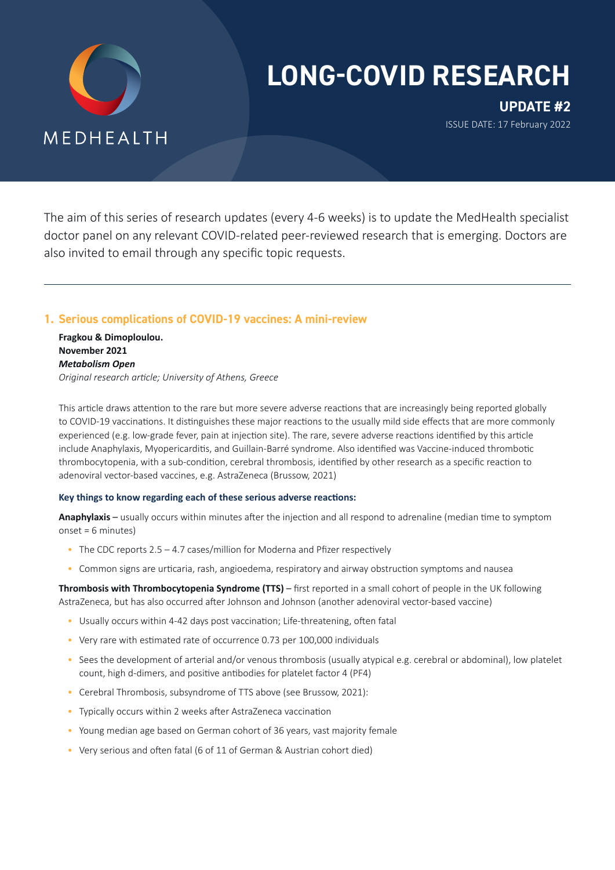

# **LONG-COVID RESEARCH**

**UPDATE #2** ISSUE DATE: 17 February 2022

The aim of this series of research updates (every 4-6 weeks) is to update the MedHealth specialist doctor panel on any relevant COVID-related peer-reviewed research that is emerging. Doctors are also invited to email through any specific topic requests.

# **1. Serious complications of COVID-19 vaccines: A mini-review**

**Fragkou & Dimoploulou. November 2021** *Metabolism Open Original research article; University of Athens, Greece* 

This article draws attention to the rare but more severe adverse reactions that are increasingly being reported globally to COVID-19 vaccinations. It distinguishes these major reactions to the usually mild side effects that are more commonly experienced (e.g. low-grade fever, pain at injection site). The rare, severe adverse reactions identified by this article include Anaphylaxis, Myopericarditis, and Guillain-Barré syndrome. Also identified was Vaccine-induced thrombotic thrombocytopenia, with a sub-condition, cerebral thrombosis, identified by other research as a specific reaction to adenoviral vector-based vaccines, e.g. AstraZeneca (Brussow, 2021)

## **Key things to know regarding each of these serious adverse reactions:**

**Anaphylaxis** – usually occurs within minutes after the injection and all respond to adrenaline (median time to symptom onset = 6 minutes)

- The CDC reports 2.5 4.7 cases/million for Moderna and Pfizer respectively
- Common signs are urticaria, rash, angioedema, respiratory and airway obstruction symptoms and nausea

**Thrombosis with Thrombocytopenia Syndrome (TTS)** – first reported in a small cohort of people in the UK following AstraZeneca, but has also occurred after Johnson and Johnson (another adenoviral vector-based vaccine)

- Usually occurs within 4-42 days post vaccination; Life-threatening, often fatal
- Very rare with estimated rate of occurrence 0.73 per 100,000 individuals
- Sees the development of arterial and/or venous thrombosis (usually atypical e.g. cerebral or abdominal), low platelet count, high d-dimers, and positive antibodies for platelet factor 4 (PF4)
- Cerebral Thrombosis, subsyndrome of TTS above (see Brussow, 2021):
- Typically occurs within 2 weeks after AstraZeneca vaccination
- Young median age based on German cohort of 36 years, vast majority female
- Very serious and often fatal (6 of 11 of German & Austrian cohort died)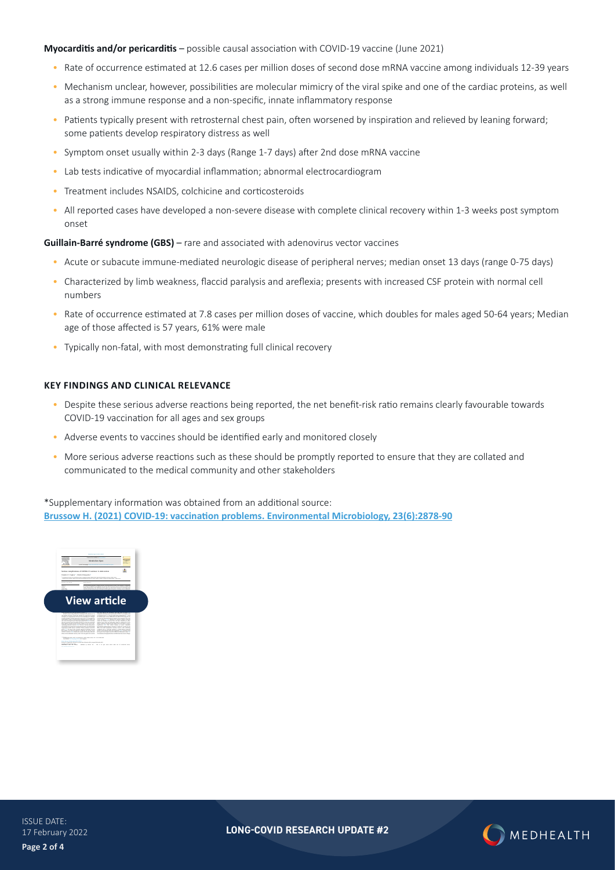**Myocarditis and/or pericarditis** – possible causal association with COVID-19 vaccine (June 2021)

- Rate of occurrence estimated at 12.6 cases per million doses of second dose mRNA vaccine among individuals 12-39 years
- Mechanism unclear, however, possibilities are molecular mimicry of the viral spike and one of the cardiac proteins, as well as a strong immune response and a non-specific, innate inflammatory response
- Patients typically present with retrosternal chest pain, often worsened by inspiration and relieved by leaning forward; some patients develop respiratory distress as well
- Symptom onset usually within 2-3 days (Range 1-7 days) after 2nd dose mRNA vaccine
- Lab tests indicative of myocardial inflammation; abnormal electrocardiogram
- Treatment includes NSAIDS, colchicine and corticosteroids
- All reported cases have developed a non-severe disease with complete clinical recovery within 1-3 weeks post symptom onset

**Guillain-Barré syndrome (GBS)** – rare and associated with adenovirus vector vaccines

- Acute or subacute immune-mediated neurologic disease of peripheral nerves; median onset 13 days (range 0-75 days)
- Characterized by limb weakness, flaccid paralysis and areflexia; presents with increased CSF protein with normal cell numbers
- Rate of occurrence estimated at 7.8 cases per million doses of vaccine, which doubles for males aged 50-64 years; Median age of those affected is 57 years, 61% were male
- Typically non-fatal, with most demonstrating full clinical recovery

#### **KEY FINDINGS AND CLINICAL RELEVANCE**

- Despite these serious adverse reactions being reported, the net benefit-risk ratio remains clearly favourable towards COVID-19 vaccination for all ages and sex groups
- Adverse events to vaccines should be identified early and monitored closely
- More serious adverse reactions such as these should be promptly reported to ensure that they are collated and communicated to the medical community and other stakeholders

\*Supplementary information was obtained from an additional source:

**[Brussow H. \(2021\) COVID-19: vaccination problems. Environmental Microbiology, 23\(6\):2878-90](https://www.medhealth.com.au/wp-content/uploads/2022/02/Brussow_2021.pdf)**



**LONG-COVID RESEARCH UPDATE #2**

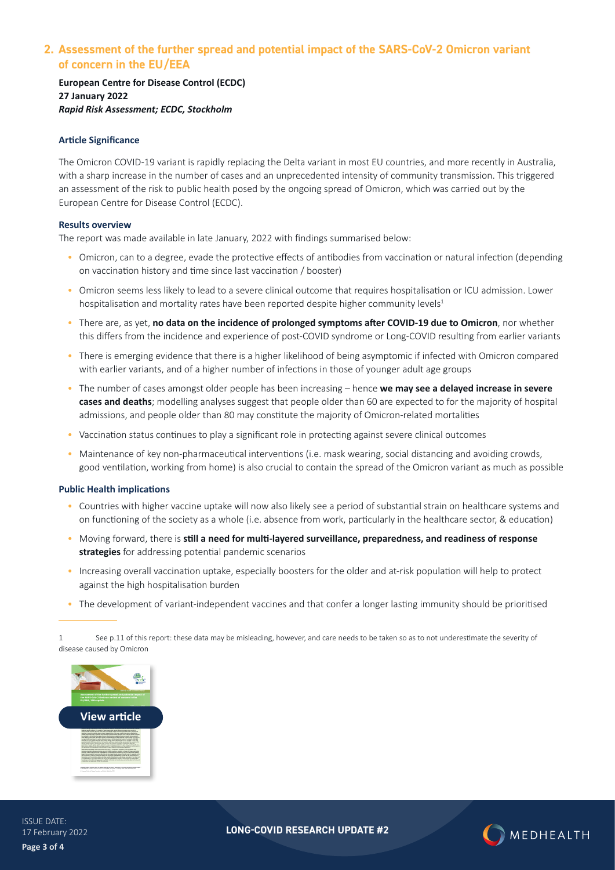# **2. Assessment of the further spread and potential impact of the SARS-CoV-2 Omicron variant of concern in the EU/EEA**

**European Centre for Disease Control (ECDC) 27 January 2022** *Rapid Risk Assessment; ECDC, Stockholm*

### **Article Significance**

The Omicron COVID-19 variant is rapidly replacing the Delta variant in most EU countries, and more recently in Australia, with a sharp increase in the number of cases and an unprecedented intensity of community transmission. This triggered an assessment of the risk to public health posed by the ongoing spread of Omicron, which was carried out by the European Centre for Disease Control (ECDC).

#### **Results overview**

The report was made available in late January, 2022 with findings summarised below:

- Omicron, can to a degree, evade the protective effects of antibodies from vaccination or natural infection (depending on vaccination history and time since last vaccination / booster)
- Omicron seems less likely to lead to a severe clinical outcome that requires hospitalisation or ICU admission. Lower hospitalisation and mortality rates have been reported despite higher community levels<sup>1</sup>
- There are, as yet, **no data on the incidence of prolonged symptoms after COVID-19 due to Omicron**, nor whether this differs from the incidence and experience of post-COVID syndrome or Long-COVID resulting from earlier variants
- There is emerging evidence that there is a higher likelihood of being asymptomic if infected with Omicron compared with earlier variants, and of a higher number of infections in those of younger adult age groups
- The number of cases amongst older people has been increasing hence **we may see a delayed increase in severe cases and deaths**; modelling analyses suggest that people older than 60 are expected to for the majority of hospital admissions, and people older than 80 may constitute the majority of Omicron-related mortalities
- Vaccination status continues to play a significant role in protecting against severe clinical outcomes
- Maintenance of key non-pharmaceutical interventions (i.e. mask wearing, social distancing and avoiding crowds, good ventilation, working from home) is also crucial to contain the spread of the Omicron variant as much as possible

#### **Public Health implications**

- Countries with higher vaccine uptake will now also likely see a period of substantial strain on healthcare systems and on functioning of the society as a whole (i.e. absence from work, particularly in the healthcare sector, & education)
- Moving forward, there is **still a need for multi-layered surveillance, preparedness, and readiness of response strategies** for addressing potential pandemic scenarios
- Increasing overall vaccination uptake, especially boosters for the older and at-risk population will help to protect against the high hospitalisation burden
- The development of variant-independent vaccines and that confer a longer lasting immunity should be prioritised

1 See p.11 of this report: these data may be misleading, however, and care needs to be taken so as to not underestimate the severity of disease caused by Omicron



ISSUE DATE: 17 February 2022 **Page 3 of 4**

**LONG-COVID RESEARCH UPDATE #2**